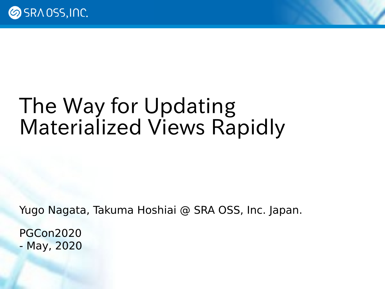### The Way for Updating Materialized Views Rapidly

Yugo Nagata, Takuma Hoshiai @ SRA OSS, Inc. Japan.

PGCon2020 - May, 2020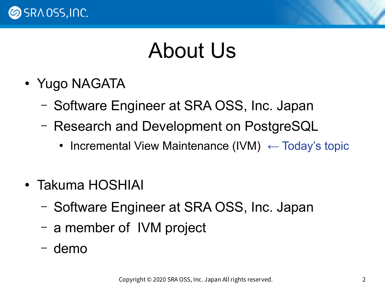

#### About Us

- Yugo NAGATA
	- Software Engineer at SRA OSS, Inc. Japan
	- Research and Development on PostgreSQL
		- Incremental View Maintenance (IVM)  $\leftarrow$  Today's topic
- Takuma HOSHIAI
	- Software Engineer at SRA OSS, Inc. Japan
	- a member of IVM project
	- demo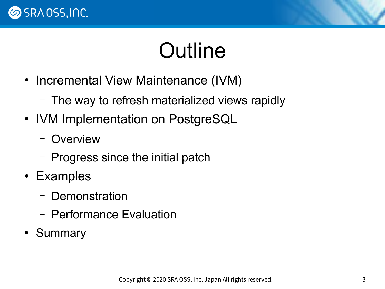

## **Outline**

- Incremental View Maintenance (IVM)
	- The way to refresh materialized views rapidly
- IVM Implementation on PostgreSQL
	- Overview
	- Progress since the initial patch
- Examples
	- Demonstration
	- Performance Evaluation
- Summary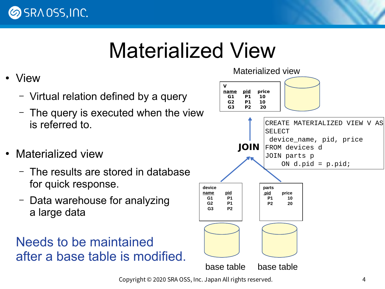

## Materialized View

- **View** 
	- Virtual relation defined by a query
	- The query is executed when the view is referred to.
- Materialized view
	- The results are stored in database for quick response.
	- Data warehouse for analyzing a large data

Needs to be maintained after a base table is modified.

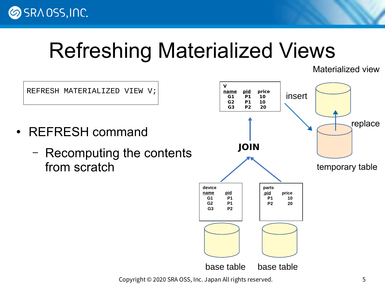## Refreshing Materialized Views

Materialized view

REFRESH MATERIALIZED VIEW V;

- REFRESH command
	- Recomputing the contents from scratch

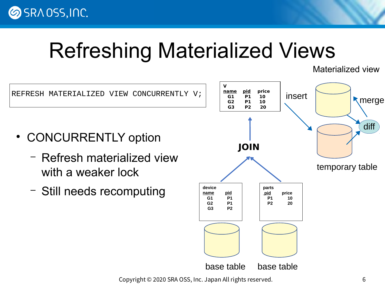# Refreshing Materialized Views

REFRESH MATERIALIZED VIEW CONCURRENTLY V; • CONCURRENTLY option – Refresh materialized view with a weaker lock – Still needs recomputing **device name pid G1 P1 G2 P1 parts V name pid price G1 P1 10 G2 P1 10 G3 P2 20 JOIN**



Copyright © 2020 SRA OSS, Inc. Japan All rights reserved. 6

Materialized view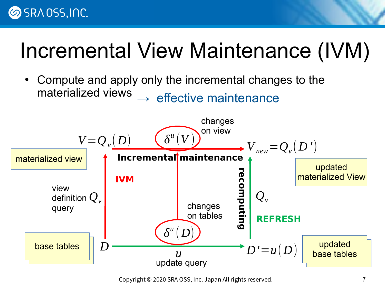# Incremental View Maintenance (IVM)

Compute and apply only the incremental changes to the materialized views  $\rightarrow$  effective maintenance



Copyright © 2020 SRA OSS, Inc. Japan All rights reserved. 7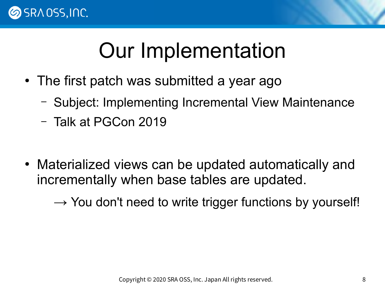

## Our Implementation

- The first patch was submitted a year ago
	- Subject: Implementing Incremental View Maintenance
	- Talk at PGCon 2019
- Materialized views can be updated automatically and incrementally when base tables are updated.

 $\rightarrow$  You don't need to write trigger functions by yourself!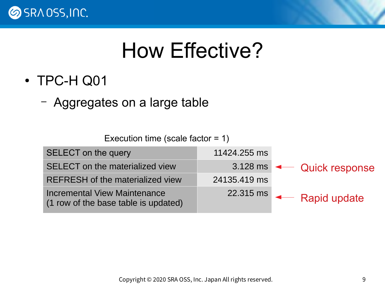

## How Effective?

- TPC-H Q01
	- Aggregates on a large table

Execution time (scale factor = 1)

| <b>SELECT</b> on the query                                           | 11424.255 ms |                           |  |
|----------------------------------------------------------------------|--------------|---------------------------|--|
| SELECT on the materialized view                                      |              | 3.128 ms < Quick response |  |
| REFRESH of the materialized view                                     | 24135,419 ms |                           |  |
| Incremental View Maintenance<br>(1 row of the base table is updated) |              | 22.315 ms < Rapid update  |  |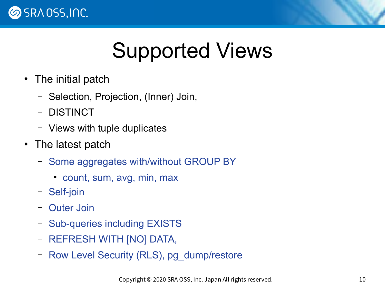

## Supported Views

- The initial patch
	- Selection, Projection, (Inner) Join,
	- DISTINCT
	- Views with tuple duplicates
- The latest patch
	- Some aggregates with/without GROUP BY
		- count, sum, avg, min, max
	- Self-join
	- Outer Join
	- Sub-queries including EXISTS
	- REFRESH WITH [NO] DATA,
	- Row Level Security (RLS), pg\_dump/restore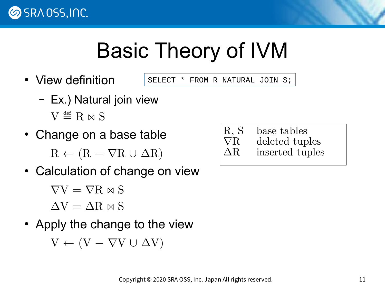

## Basic Theory of IVM

• View definition

SELECT \* FROM R NATURAL JOIN S;

- Ex.) Natural join view  $V \stackrel{\text{def}}{=} R \bowtie S$
- Change on a base table

 $R \leftarrow (R - \nabla R \cup \Delta R)$ 

• Calculation of change on view

 $\nabla V = \nabla R \Join S$ 

 $\Delta V = \Delta R \Join S$ 

• Apply the change to the view

 $V \leftarrow (V - \nabla V \cup \Delta V)$ 

R, S base tables  $\nabla R$  deleted tuples<br> $\Delta R$  inserted tuples inserted tuples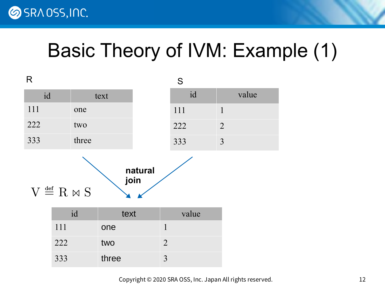**SRAOSS, INC.** 

#### Basic Theory of IVM: Example (1)

| R       |       |  | S   |                |  |
|---------|-------|--|-----|----------------|--|
| id      | text  |  | id  | value          |  |
| 111     | one   |  | 111 |                |  |
| 222     | two   |  | 222 | $\overline{2}$ |  |
| 333     | three |  | 333 | 3              |  |
| natural |       |  |     |                |  |

 $V \stackrel{\text{def}}{=} R \bowtie S$ 

**join**

| id  | text  | value |
|-----|-------|-------|
| 111 | one   |       |
| 222 | two   |       |
| 333 | three |       |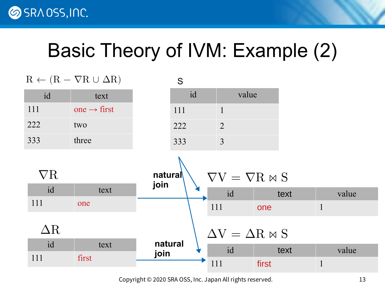**SRAOSS, INC.** 

#### Basic Theory of IVM: Example (2)

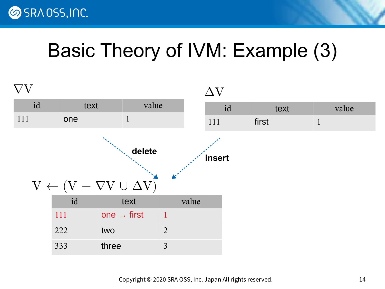

#### Basic Theory of IVM: Example (3)

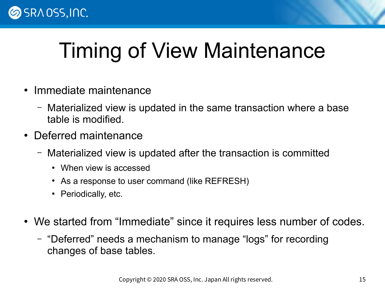

## Timing of View Maintenance

- Immediate maintenance
	- Materialized view is updated in the same transaction where a base table is modified.
- Deferred maintenance
	- Materialized view is updated after the transaction is committed
		- When view is accessed
		- As a response to user command (like REFRESH)
		- Periodically, etc.
- We started from "Immediate" since it requires less number of codes.
	- "Deferred" needs a mechanism to manage "logs" for recording changes of base tables.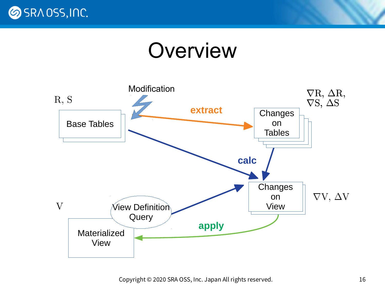

#### **Overview**

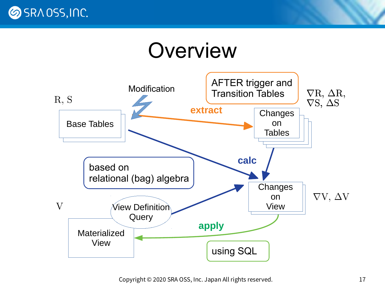

#### **Overview**

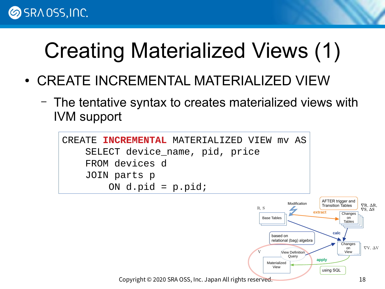

# Creating Materialized Views (1)

- CREATE INCREMENTAL MATERIALIZED VIEW
	- The tentative syntax to creates materialized views with IVM support

```
CREATE INCREMENTAL MATERIALIZED VIEW mv AS
     SELECT device_name, pid, price
     FROM devices d
     JOIN parts p
        ON d.pid = p.pid;
```
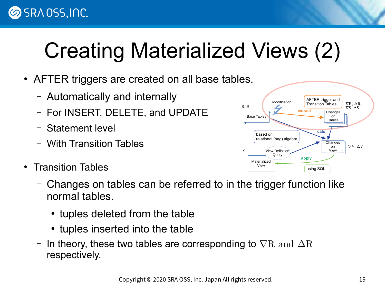# Creating Materialized Views (2)

- AFTER triggers are created on all base tables.
	- Automatically and internally
	- For INSERT, DELETE, and UPDATE
	- Statement level
	- With Transition Tables
- **Transition Tables** 
	- Changes on tables can be referred to in the trigger function like normal tables.
		- tuples deleted from the table
		- tuples inserted into the table
	- In theory, these two tables are corresponding to  $\nabla$ R and  $\Delta$ R respectively.

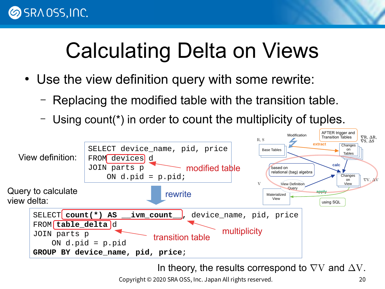

# Calculating Delta on Views

- Use the view definition query with some rewrite:
	- Replacing the modified table with the transition table.
	- Using count(\*) in order to count the multiplicity of tuples.



In theory, the results correspond to  $\nabla V$  and  $\Delta V$ .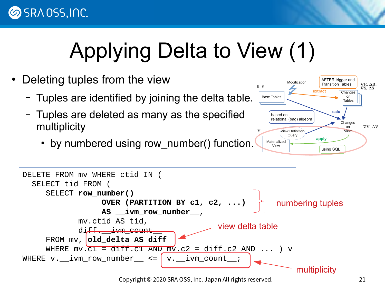

# Applying Delta to View (1)

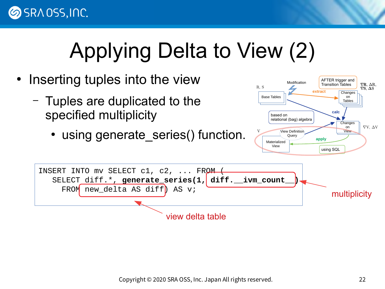

# Applying Delta to View (2)

- Inserting tuples into the view
	- Tuples are duplicated to the specified multiplicity
		- using generate series() function.



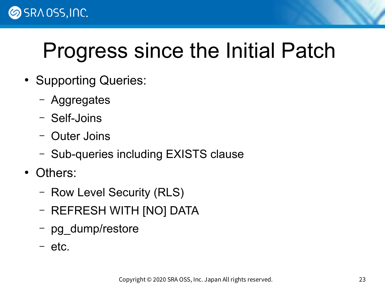

## Progress since the Initial Patch

- Supporting Queries:
	- Aggregates
	- Self-Joins
	- Outer Joins
	- Sub-queries including EXISTS clause
- Others:
	- Row Level Security (RLS)
	- REFRESH WITH [NO] DATA
	- pg\_dump/restore
	- etc.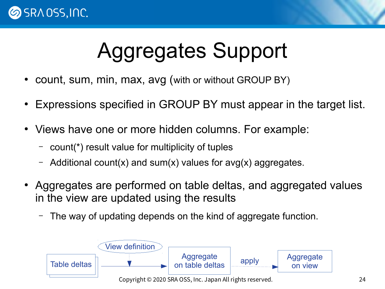## Aggregates Support

- count, sum, min, max, avg (with or without GROUP BY)
- Expressions specified in GROUP BY must appear in the target list.
- Views have one or more hidden columns. For example:
	- count(\*) result value for multiplicity of tuples
	- Additional count(x) and sum(x) values for  $avg(x)$  aggregates.
- Aggregates are performed on table deltas, and aggregated values in the view are updated using the results
	- The way of updating depends on the kind of aggregate function.

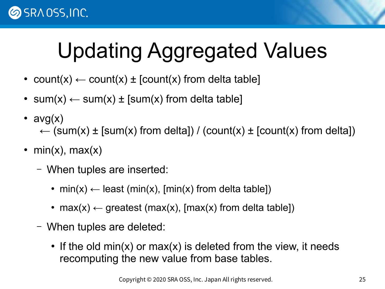

# Updating Aggregated Values

- count(x)  $\leftarrow$  count(x)  $\pm$  [count(x) from delta table]
- sum(x)  $\leftarrow$  sum(x)  $\pm$  [sum(x) from delta table]
- $avg(x)$  $\leftarrow$  (sum(x)  $\pm$  [sum(x) from delta]) / (count(x)  $\pm$  [count(x) from delta])
- min $(x)$ , max $(x)$ 
	- When tuples are inserted:
		- min(x)  $\leftarrow$  least (min(x), [min(x) from delta table])
		- max(x)  $\leftarrow$  greatest (max(x), [max(x) from delta table])
	- When tuples are deleted:
		- If the old min(x) or max(x) is deleted from the view, it needs recomputing the new value from base tables.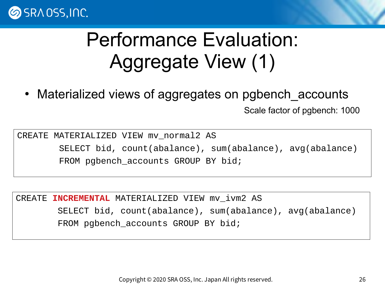



• Materialized views of aggregates on pgbench accounts Scale factor of pgbench: 1000

CREATE MATERIALIZED VIEW mv\_normal2 AS SELECT bid, count(abalance), sum(abalance), avg(abalance) FROM pgbench accounts GROUP BY bid;

CREATE **INCREMENTAL** MATERIALIZED VIEW mv\_ivm2 AS SELECT bid, count(abalance), sum(abalance), avg(abalance) FROM pgbench\_accounts GROUP BY bid;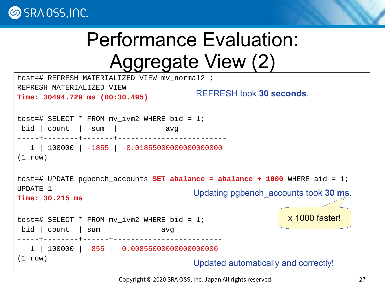

### Performance Evaluation: Aggregate View (2)

```
test=# REFRESH MATERIALIZED VIEW mv normal2 ;
REFRESH MATERIALIZED VIEW
Time: 30494.729 ms (00:30.495)
test=# SELECT * FROM mv ivm2 WHERE bid = 1;
bid | count | sum | avg
-----+--------+-------+-------------------------
   1 | 100000 | -1855 | -0.01855000000000000000
(1 row)test=# UPDATE pgbench_accounts SET abalance = abalance + 1000 WHERE aid = 1;
UPDATE 1
Time: 30.215 ms
test=# SELECT * FROM mv ivm2 WHERE bid = 1;
bid | count | sum | avg
 -----+--------+------+-------------------------
   1 | 100000 | -855 | -0.00855000000000000000
(1 row)REFRESH took 30 seconds.
                                        Updating pgbench_accounts took 30 ms. 
                                        Updated automatically and correctly!
                                                              x 1000 faster!
```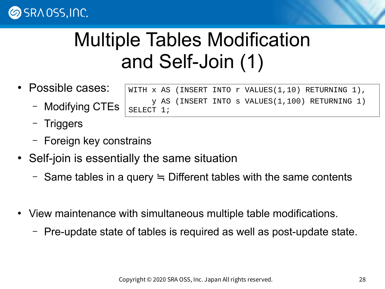#### SRA 0SS, INC.

#### Multiple Tables Modification and Self-Join (1)

WITH x AS (INSERT INTO r VALUES(1,10) RETURNING 1),

y AS (INSERT INTO s VALUES(1,100) RETURNING 1)

- Possible cases:
	- Modifying CTEs
	- Triggers
	- Foreign key constrains
- Self-join is essentially the same situation

SELECT 1;

- Same tables in a query  $=$  Different tables with the same contents
- View maintenance with simultaneous multiple table modifications.
	- Pre-update state of tables is required as well as post-update state.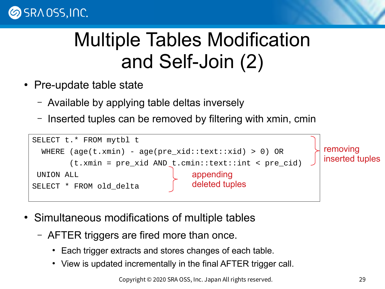#### SRA 0SS, INC.

#### Multiple Tables Modification and Self-Join (2)

- Pre-update table state
	- Available by applying table deltas inversely
	- Inserted tuples can be removed by filtering with xmin, cmin



- Simultaneous modifications of multiple tables
	- AFTER triggers are fired more than once.
		- Each trigger extracts and stores changes of each table.
		- View is updated incrementally in the final AFTER trigger call.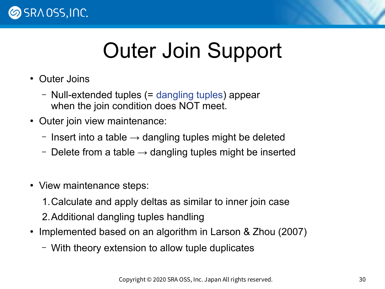

## Outer Join Support

- Outer Joins
	- Null-extended tuples (= dangling tuples) appear when the join condition does NOT meet.
- Outer join view maintenance:
	- Insert into a table  $\rightarrow$  dangling tuples might be deleted
	- Delete from a table  $\rightarrow$  dangling tuples might be inserted
- View maintenance steps:

1.Calculate and apply deltas as similar to inner join case 2.Additional dangling tuples handling

- Implemented based on an algorithm in Larson & Zhou (2007)
	- With theory extension to allow tuple duplicates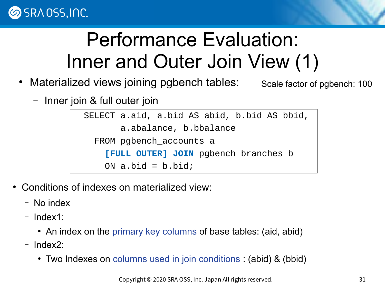

### Performance Evaluation: Inner and Outer Join View (1)

- Materialized views joining pgbench tables: Scale factor of pgbench: 100
	- Inner join & full outer join

 SELECT a.aid, a.bid AS abid, b.bid AS bbid, a.abalance, b.bbalance FROM pgbench\_accounts a **[FULL OUTER] JOIN** pgbench\_branches b ON  $a.bid = b.bid;$ 

- Conditions of indexes on materialized view:
	- No index
	- Index1:
		- An index on the primary key columns of base tables: (aid, abid)
	- Index2:
		- Two Indexes on columns used in join conditions : (abid) & (bbid)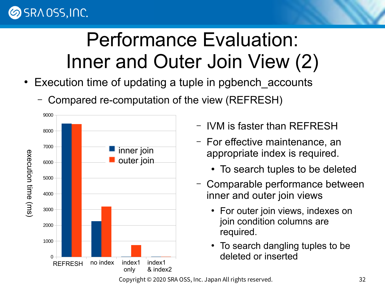#### SRA 0SS, INC.

#### Performance Evaluation: Inner and Outer Join View (2)

- Execution time of updating a tuple in pgbench accounts
	- Compared re-computation of the view (REFRESH)



- IVM is faster than REFRESH
- For effective maintenance, an appropriate index is required.
	- To search tuples to be deleted
- Comparable performance between inner and outer join views
	- For outer join views, indexes on join condition columns are required.
	- To search dangling tuples to be deleted or inserted

Copyright © 2020 SRA OSS, Inc. Japan All rights reserved. 32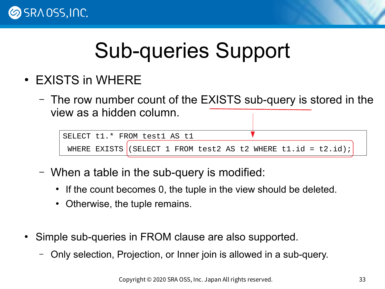

## Sub-queries Support

- EXISTS in WHERE
	- The row number count of the EXISTS sub-query is stored in the view as a hidden column.

```
SELECT t1.* FROM test1 AS t1
WHERE EXISTS (SELECT 1 FROM test2 AS t2 WHERE t1.id = t2.id);
```
- When a table in the sub-query is modified:
	- If the count becomes 0, the tuple in the view should be deleted.
	- Otherwise, the tuple remains.
- Simple sub-queries in FROM clause are also supported.
	- Only selection, Projection, or Inner join is allowed in a sub-query.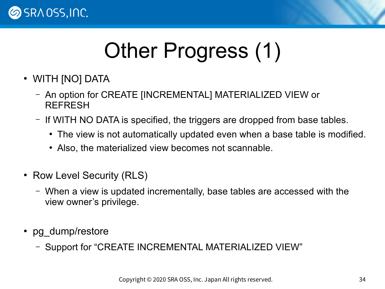

# Other Progress (1)

- WITH [NO] DATA
	- An option for CREATE [INCREMENTAL] MATERIALIZED VIEW or **REFRESH**
	- If WITH NO DATA is specified, the triggers are dropped from base tables.
		- The view is not automatically updated even when a base table is modified.
		- Also, the materialized view becomes not scannable.
- Row Level Security (RLS)
	- When a view is updated incrementally, base tables are accessed with the view owner's privilege.
- pg\_dump/restore
	- Support for "CREATE INCREMENTAL MATERIALIZED VIEW"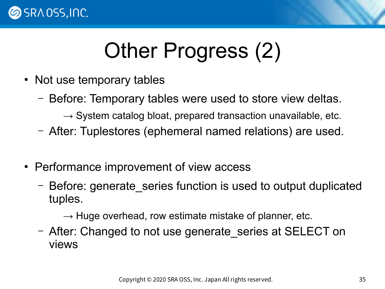

# Other Progress (2)

- Not use temporary tables
	- Before: Temporary tables were used to store view deltas.
		- $\rightarrow$  System catalog bloat, prepared transaction unavailable, etc.
	- After: Tuplestores (ephemeral named relations) are used.
- Performance improvement of view access
	- Before: generate\_series function is used to output duplicated tuples.

 $\rightarrow$  Huge overhead, row estimate mistake of planner, etc.

– After: Changed to not use generate series at SELECT on views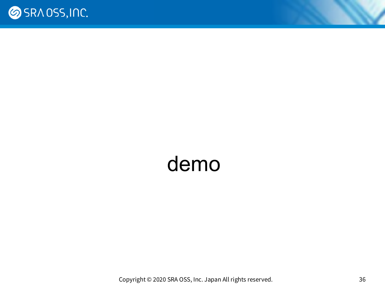

#### demo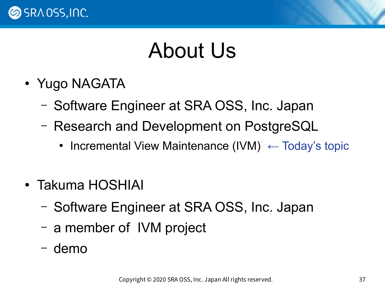

#### About Us

- Yugo NAGATA
	- Software Engineer at SRA OSS, Inc. Japan
	- Research and Development on PostgreSQL
		- Incremental View Maintenance (IVM)  $\leftarrow$  Today's topic
- Takuma HOSHIAI
	- Software Engineer at SRA OSS, Inc. Japan
	- a member of IVM project
	- demo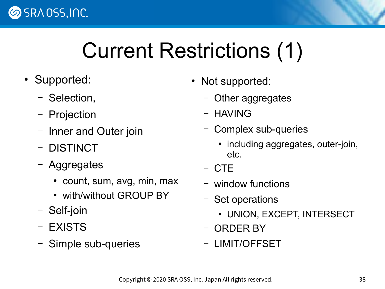

# Current Restrictions (1)

- Supported:
	- Selection,
	- Projection
	- Inner and Outer join
	- DISTINCT
	- Aggregates
		- count, sum, avg, min, max
		- with/without GROUP BY
	- Self-join
	- EXISTS
	- Simple sub-queries
- Not supported:
	- Other aggregates
	- HAVING
	- Complex sub-queries
		- including aggregates, outer-join, etc.
	- CTE
	- window functions
	- Set operations
		- UNION, EXCEPT, INTERSECT
	- ORDER BY
	- LIMIT/OFFSET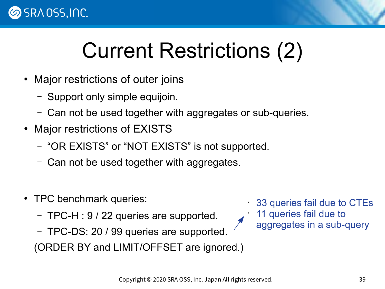

# Current Restrictions (2)

- Major restrictions of outer joins
	- Support only simple equijoin.
	- Can not be used together with aggregates or sub-queries.
- Major restrictions of EXISTS
	- "OR EXISTS" or "NOT EXISTS" is not supported.
	- Can not be used together with aggregates.
- TPC benchmark queries:
	- TPC-H : 9 / 22 queries are supported.
	- TPC-DS: 20 / 99 queries are supported.

(ORDER BY and LIMIT/OFFSET are ignored.)

33 queries fail due to CTEs 11 queries fail due to aggregates in a sub-query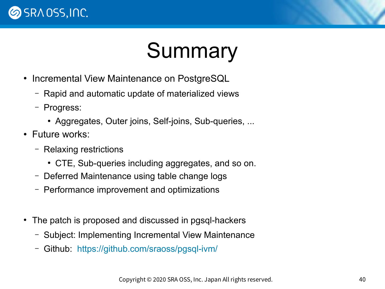

## Summary

- Incremental View Maintenance on PostgreSQL
	- Rapid and automatic update of materialized views
	- Progress:
		- Aggregates, Outer joins, Self-joins, Sub-queries, ...
- Future works:
	- Relaxing restrictions
		- CTE, Sub-queries including aggregates, and so on.
	- Deferred Maintenance using table change logs
	- Performance improvement and optimizations
- The patch is proposed and discussed in pgsql-hackers
	- Subject: Implementing Incremental View Maintenance
	- Github: <https://github.com/sraoss/pgsql-ivm/>